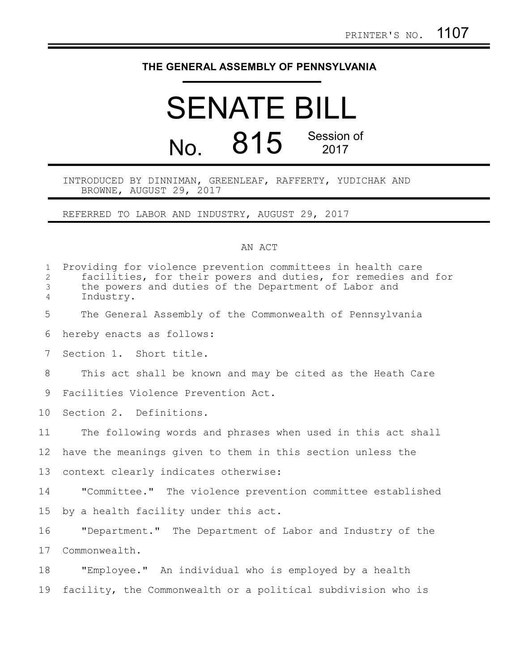## **THE GENERAL ASSEMBLY OF PENNSYLVANIA**

## SENATE BILL No. 815 Session of 2017

## INTRODUCED BY DINNIMAN, GREENLEAF, RAFFERTY, YUDICHAK AND BROWNE, AUGUST 29, 2017

REFERRED TO LABOR AND INDUSTRY, AUGUST 29, 2017

## AN ACT

| $\mathbf{1}$<br>$\overline{2}$<br>3<br>4 | Providing for violence prevention committees in health care<br>facilities, for their powers and duties, for remedies and for<br>the powers and duties of the Department of Labor and<br>Industry. |
|------------------------------------------|---------------------------------------------------------------------------------------------------------------------------------------------------------------------------------------------------|
| 5                                        | The General Assembly of the Commonwealth of Pennsylvania                                                                                                                                          |
| 6                                        | hereby enacts as follows:                                                                                                                                                                         |
| 7                                        | Section 1. Short title.                                                                                                                                                                           |
| 8                                        | This act shall be known and may be cited as the Heath Care                                                                                                                                        |
| 9                                        | Facilities Violence Prevention Act.                                                                                                                                                               |
| 10 <sub>o</sub>                          | Section 2. Definitions.                                                                                                                                                                           |
| 11                                       | The following words and phrases when used in this act shall                                                                                                                                       |
| 12                                       | have the meanings given to them in this section unless the                                                                                                                                        |
| 13                                       | context clearly indicates otherwise:                                                                                                                                                              |
| 14                                       | "Committee." The violence prevention committee established                                                                                                                                        |
| 15                                       | by a health facility under this act.                                                                                                                                                              |
| 16                                       | "Department." The Department of Labor and Industry of the                                                                                                                                         |
| 17                                       | Commonwealth.                                                                                                                                                                                     |
| 18                                       | "Employee." An individual who is employed by a health                                                                                                                                             |
| 19                                       | facility, the Commonwealth or a political subdivision who is                                                                                                                                      |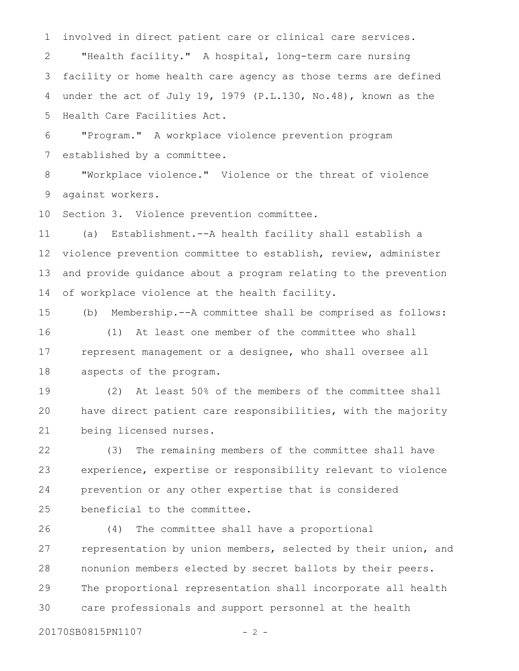involved in direct patient care or clinical care services. "Health facility." A hospital, long-term care nursing facility or home health care agency as those terms are defined under the act of July 19, 1979 (P.L.130, No.48), known as the Health Care Facilities Act. 1 2 3 4 5

"Program." A workplace violence prevention program established by a committee. 6 7

"Workplace violence." Violence or the threat of violence against workers. 8 9

Section 3. Violence prevention committee. 10

(a) Establishment.--A health facility shall establish a violence prevention committee to establish, review, administer and provide guidance about a program relating to the prevention of workplace violence at the health facility. 11 12 13 14

(b) Membership.--A committee shall be comprised as follows: (1) At least one member of the committee who shall represent management or a designee, who shall oversee all aspects of the program. 15 16 17 18

(2) At least 50% of the members of the committee shall have direct patient care responsibilities, with the majority being licensed nurses. 19 20 21

(3) The remaining members of the committee shall have experience, expertise or responsibility relevant to violence prevention or any other expertise that is considered beneficial to the committee. 22 23 24 25

(4) The committee shall have a proportional representation by union members, selected by their union, and nonunion members elected by secret ballots by their peers. The proportional representation shall incorporate all health care professionals and support personnel at the health 26 27 28 29 30

20170SB0815PN1107 - 2 -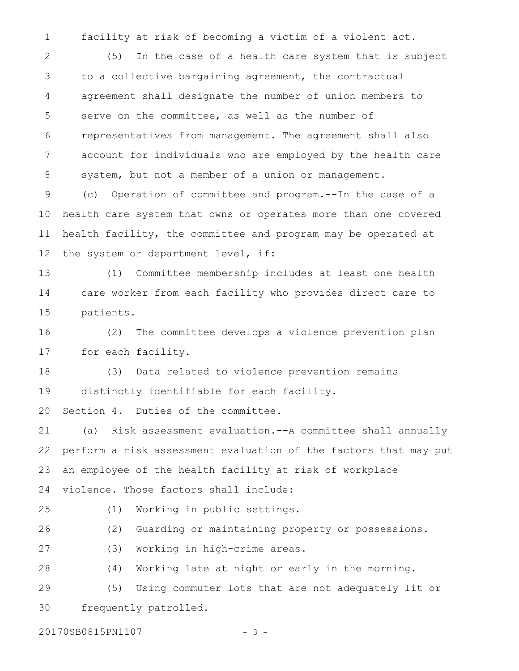facility at risk of becoming a victim of a violent act. 1

(5) In the case of a health care system that is subject to a collective bargaining agreement, the contractual agreement shall designate the number of union members to serve on the committee, as well as the number of representatives from management. The agreement shall also account for individuals who are employed by the health care system, but not a member of a union or management. (c) Operation of committee and program.--In the case of a 2 3 4 5 6 7 8 9

health care system that owns or operates more than one covered health facility, the committee and program may be operated at the system or department level, if: 10 11 12

(1) Committee membership includes at least one health care worker from each facility who provides direct care to patients. 13 14 15

(2) The committee develops a violence prevention plan for each facility. 16 17

(3) Data related to violence prevention remains distinctly identifiable for each facility. 18 19

Section 4. Duties of the committee. 20

(a) Risk assessment evaluation.--A committee shall annually perform a risk assessment evaluation of the factors that may put an employee of the health facility at risk of workplace violence. Those factors shall include: 21 22 23 24

25

(1) Working in public settings.

(2) Guarding or maintaining property or possessions. 26

(3) Working in high-crime areas. 27

(4) Working late at night or early in the morning. 28

(5) Using commuter lots that are not adequately lit or frequently patrolled. 29 30

20170SB0815PN1107 - 3 -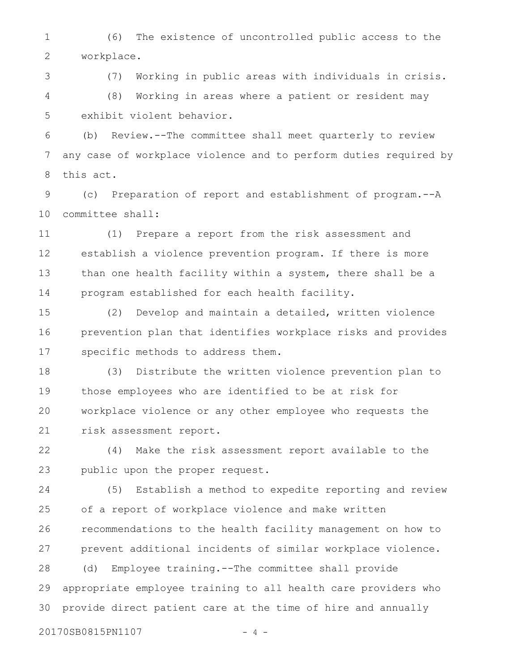(6) The existence of uncontrolled public access to the workplace. 1 2

(7) Working in public areas with individuals in crisis. (8) Working in areas where a patient or resident may exhibit violent behavior. 3 4 5

(b) Review.--The committee shall meet quarterly to review any case of workplace violence and to perform duties required by this act. 6 7 8

(c) Preparation of report and establishment of program.--A committee shall: 9 10

(1) Prepare a report from the risk assessment and establish a violence prevention program. If there is more than one health facility within a system, there shall be a program established for each health facility. 11 12 13 14

(2) Develop and maintain a detailed, written violence prevention plan that identifies workplace risks and provides specific methods to address them. 15 16 17

(3) Distribute the written violence prevention plan to those employees who are identified to be at risk for workplace violence or any other employee who requests the risk assessment report. 18 19 20 21

(4) Make the risk assessment report available to the public upon the proper request. 22 23

(5) Establish a method to expedite reporting and review of a report of workplace violence and make written recommendations to the health facility management on how to prevent additional incidents of similar workplace violence. (d) Employee training.--The committee shall provide appropriate employee training to all health care providers who provide direct patient care at the time of hire and annually 24 25 26 27 28 29 30

20170SB0815PN1107 - 4 -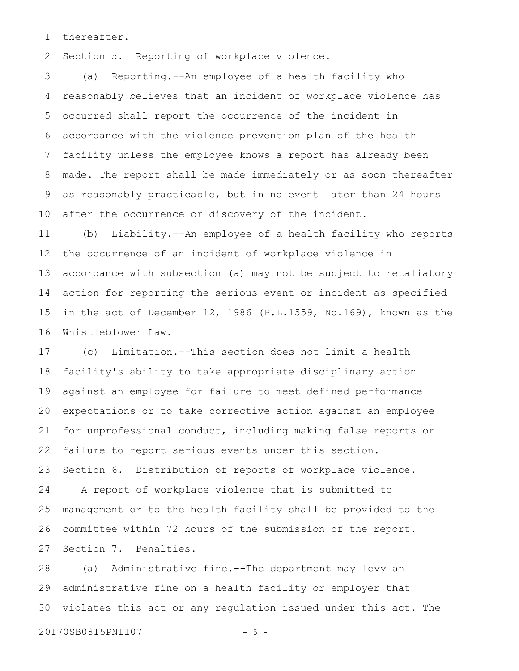thereafter. 1

Section 5. Reporting of workplace violence. 2

(a) Reporting.--An employee of a health facility who reasonably believes that an incident of workplace violence has occurred shall report the occurrence of the incident in accordance with the violence prevention plan of the health facility unless the employee knows a report has already been made. The report shall be made immediately or as soon thereafter as reasonably practicable, but in no event later than 24 hours after the occurrence or discovery of the incident. 3 4 5 6 7 8 9 10

(b) Liability.--An employee of a health facility who reports the occurrence of an incident of workplace violence in accordance with subsection (a) may not be subject to retaliatory action for reporting the serious event or incident as specified in the act of December 12, 1986 (P.L.1559, No.169), known as the Whistleblower Law. 11 12 13 14 15 16

(c) Limitation.--This section does not limit a health facility's ability to take appropriate disciplinary action against an employee for failure to meet defined performance expectations or to take corrective action against an employee for unprofessional conduct, including making false reports or failure to report serious events under this section. Section 6. Distribution of reports of workplace violence. A report of workplace violence that is submitted to management or to the health facility shall be provided to the committee within 72 hours of the submission of the report. Section 7. Penalties. 17 18 19 20 21 22 23 24 25 26 27

(a) Administrative fine.--The department may levy an administrative fine on a health facility or employer that violates this act or any regulation issued under this act. The 28 29 30

20170SB0815PN1107 - 5 -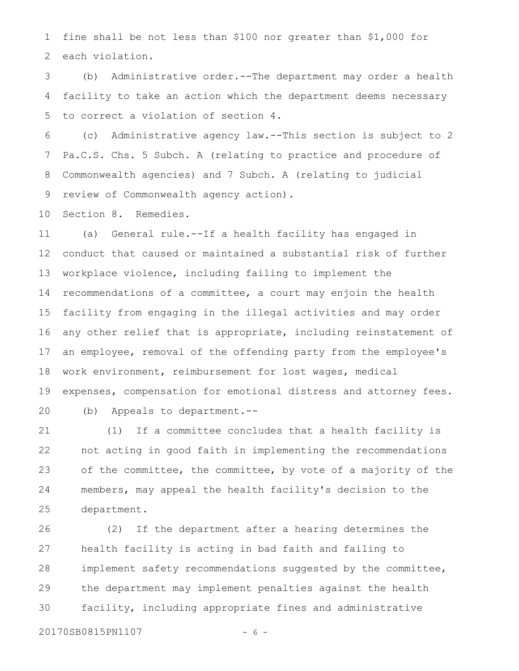fine shall be not less than \$100 nor greater than \$1,000 for each violation. 1 2

(b) Administrative order.--The department may order a health facility to take an action which the department deems necessary to correct a violation of section 4. 3 4 5

(c) Administrative agency law.--This section is subject to 2 Pa.C.S. Chs. 5 Subch. A (relating to practice and procedure of Commonwealth agencies) and 7 Subch. A (relating to judicial review of Commonwealth agency action). 6 7 8 9

Section 8. Remedies. 10

(a) General rule.--If a health facility has engaged in conduct that caused or maintained a substantial risk of further workplace violence, including failing to implement the recommendations of a committee, a court may enjoin the health facility from engaging in the illegal activities and may order any other relief that is appropriate, including reinstatement of an employee, removal of the offending party from the employee's work environment, reimbursement for lost wages, medical expenses, compensation for emotional distress and attorney fees. (b) Appeals to department.-- 11 12 13 14 15 16 17 18 19 20

(1) If a committee concludes that a health facility is not acting in good faith in implementing the recommendations of the committee, the committee, by vote of a majority of the members, may appeal the health facility's decision to the department. 21 22 23 24 25

(2) If the department after a hearing determines the health facility is acting in bad faith and failing to implement safety recommendations suggested by the committee, the department may implement penalties against the health facility, including appropriate fines and administrative 26 27 28 29 30

20170SB0815PN1107 - 6 -